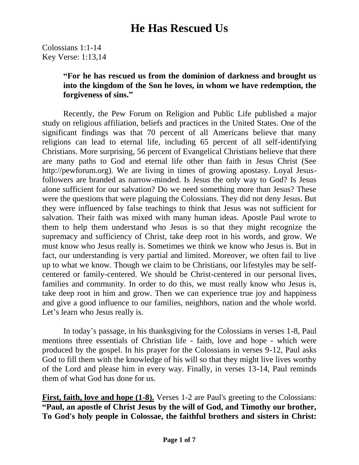Colossians 1:1-14 Key Verse: 1:13,14

#### **"For he has rescued us from the dominion of darkness and brought us into the kingdom of the Son he loves, in whom we have redemption, the forgiveness of sins."**

Recently, the Pew Forum on Religion and Public Life published a major study on religious affiliation, beliefs and practices in the United States. One of the significant findings was that 70 percent of all Americans believe that many religions can lead to eternal life, including 65 percent of all self-identifying Christians. More surprising, 56 percent of Evangelical Christians believe that there are many paths to God and eternal life other than faith in Jesus Christ (See http://pewforum.org). We are living in times of growing apostasy. Loyal Jesusfollowers are branded as narrow-minded. Is Jesus the only way to God? Is Jesus alone sufficient for our salvation? Do we need something more than Jesus? These were the questions that were plaguing the Colossians. They did not deny Jesus. But they were influenced by false teachings to think that Jesus was not sufficient for salvation. Their faith was mixed with many human ideas. Apostle Paul wrote to them to help them understand who Jesus is so that they might recognize the supremacy and sufficiency of Christ, take deep root in his words, and grow. We must know who Jesus really is. Sometimes we think we know who Jesus is. But in fact, our understanding is very partial and limited. Moreover, we often fail to live up to what we know. Though we claim to be Christians, our lifestyles may be selfcentered or family-centered. We should be Christ-centered in our personal lives, families and community. In order to do this, we must really know who Jesus is, take deep root in him and grow. Then we can experience true joy and happiness and give a good influence to our families, neighbors, nation and the whole world. Let's learn who Jesus really is.

In today's passage, in his thanksgiving for the Colossians in verses 1-8, Paul mentions three essentials of Christian life - faith, love and hope - which were produced by the gospel. In his prayer for the Colossians in verses 9-12, Paul asks God to fill them with the knowledge of his will so that they might live lives worthy of the Lord and please him in every way. Finally, in verses 13-14, Paul reminds them of what God has done for us.

**First, faith, love and hope (1-8).** Verses 1-2 are Paul's greeting to the Colossians: **"Paul, an apostle of Christ Jesus by the will of God, and Timothy our brother, To God's holy people in Colossae, the faithful brothers and sisters in Christ:**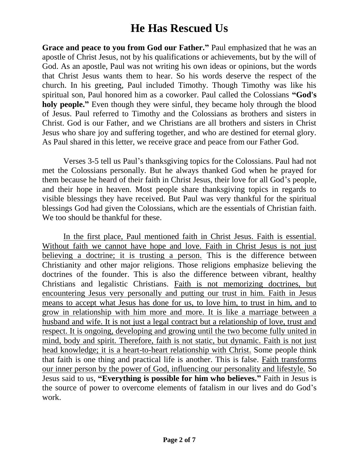**Grace and peace to you from God our Father."** Paul emphasized that he was an apostle of Christ Jesus, not by his qualifications or achievements, but by the will of God. As an apostle, Paul was not writing his own ideas or opinions, but the words that Christ Jesus wants them to hear. So his words deserve the respect of the church. In his greeting, Paul included Timothy. Though Timothy was like his spiritual son, Paul honored him as a coworker. Paul called the Colossians **"God's holy people."** Even though they were sinful, they became holy through the blood of Jesus. Paul referred to Timothy and the Colossians as brothers and sisters in Christ. God is our Father, and we Christians are all brothers and sisters in Christ Jesus who share joy and suffering together, and who are destined for eternal glory. As Paul shared in this letter, we receive grace and peace from our Father God.

Verses 3-5 tell us Paul's thanksgiving topics for the Colossians. Paul had not met the Colossians personally. But he always thanked God when he prayed for them because he heard of their faith in Christ Jesus, their love for all God's people, and their hope in heaven. Most people share thanksgiving topics in regards to visible blessings they have received. But Paul was very thankful for the spiritual blessings God had given the Colossians, which are the essentials of Christian faith. We too should be thankful for these.

In the first place, Paul mentioned faith in Christ Jesus. Faith is essential. Without faith we cannot have hope and love. Faith in Christ Jesus is not just believing a doctrine; it is trusting a person. This is the difference between Christianity and other major religions. Those religions emphasize believing the doctrines of the founder. This is also the difference between vibrant, healthy Christians and legalistic Christians. Faith is not memorizing doctrines, but encountering Jesus very personally and putting our trust in him. Faith in Jesus means to accept what Jesus has done for us, to love him, to trust in him, and to grow in relationship with him more and more. It is like a marriage between a husband and wife. It is not just a legal contract but a relationship of love, trust and respect. It is ongoing, developing and growing until the two become fully united in mind, body and spirit. Therefore, faith is not static, but dynamic. Faith is not just head knowledge; it is a heart-to-heart relationship with Christ. Some people think that faith is one thing and practical life is another. This is false. Faith transforms our inner person by the power of God, influencing our personality and lifestyle. So Jesus said to us, **"Everything is possible for him who believes."** Faith in Jesus is the source of power to overcome elements of fatalism in our lives and do God's work.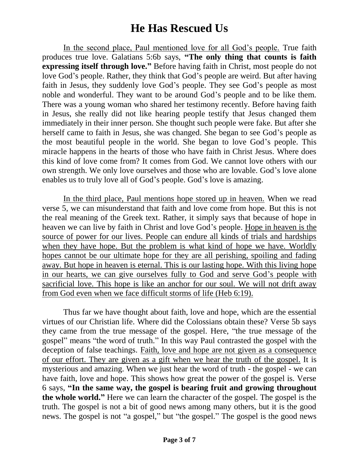In the second place, Paul mentioned love for all God's people. True faith produces true love. Galatians 5:6b says, **"The only thing that counts is faith expressing itself through love."** Before having faith in Christ, most people do not love God's people. Rather, they think that God's people are weird. But after having faith in Jesus, they suddenly love God's people. They see God's people as most noble and wonderful. They want to be around God's people and to be like them. There was a young woman who shared her testimony recently. Before having faith in Jesus, she really did not like hearing people testify that Jesus changed them immediately in their inner person. She thought such people were fake. But after she herself came to faith in Jesus, she was changed. She began to see God's people as the most beautiful people in the world. She began to love God's people. This miracle happens in the hearts of those who have faith in Christ Jesus. Where does this kind of love come from? It comes from God. We cannot love others with our own strength. We only love ourselves and those who are lovable. God's love alone enables us to truly love all of God's people. God's love is amazing.

In the third place, Paul mentions hope stored up in heaven. When we read verse 5, we can misunderstand that faith and love come from hope. But this is not the real meaning of the Greek text. Rather, it simply says that because of hope in heaven we can live by faith in Christ and love God's people. Hope in heaven is the source of power for our lives. People can endure all kinds of trials and hardships when they have hope. But the problem is what kind of hope we have. Worldly hopes cannot be our ultimate hope for they are all perishing, spoiling and fading away. But hope in heaven is eternal. This is our lasting hope. With this living hope in our hearts, we can give ourselves fully to God and serve God's people with sacrificial love. This hope is like an anchor for our soul. We will not drift away from God even when we face difficult storms of life (Heb 6:19).

Thus far we have thought about faith, love and hope, which are the essential virtues of our Christian life. Where did the Colossians obtain these? Verse 5b says they came from the true message of the gospel. Here, "the true message of the gospel" means "the word of truth." In this way Paul contrasted the gospel with the deception of false teachings. Faith, love and hope are not given as a consequence of our effort. They are given as a gift when we hear the truth of the gospel. It is mysterious and amazing. When we just hear the word of truth - the gospel - we can have faith, love and hope. This shows how great the power of the gospel is. Verse 6 says, **"In the same way, the gospel is bearing fruit and growing throughout the whole world."** Here we can learn the character of the gospel. The gospel is the truth. The gospel is not a bit of good news among many others, but it is the good news. The gospel is not "a gospel," but "the gospel." The gospel is the good news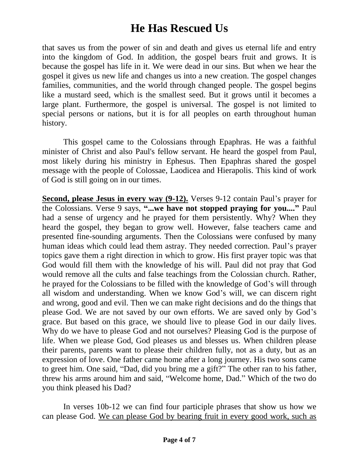that saves us from the power of sin and death and gives us eternal life and entry into the kingdom of God. In addition, the gospel bears fruit and grows. It is because the gospel has life in it. We were dead in our sins. But when we hear the gospel it gives us new life and changes us into a new creation. The gospel changes families, communities, and the world through changed people. The gospel begins like a mustard seed, which is the smallest seed. But it grows until it becomes a large plant. Furthermore, the gospel is universal. The gospel is not limited to special persons or nations, but it is for all peoples on earth throughout human history.

This gospel came to the Colossians through Epaphras. He was a faithful minister of Christ and also Paul's fellow servant. He heard the gospel from Paul, most likely during his ministry in Ephesus. Then Epaphras shared the gospel message with the people of Colossae, Laodicea and Hierapolis. This kind of work of God is still going on in our times.

**Second, please Jesus in every way (9-12).** Verses 9-12 contain Paul's prayer for the Colossians. Verse 9 says, **"...we have not stopped praying for you...."** Paul had a sense of urgency and he prayed for them persistently. Why? When they heard the gospel, they began to grow well. However, false teachers came and presented fine-sounding arguments. Then the Colossians were confused by many human ideas which could lead them astray. They needed correction. Paul's prayer topics gave them a right direction in which to grow. His first prayer topic was that God would fill them with the knowledge of his will. Paul did not pray that God would remove all the cults and false teachings from the Colossian church. Rather, he prayed for the Colossians to be filled with the knowledge of God's will through all wisdom and understanding. When we know God's will, we can discern right and wrong, good and evil. Then we can make right decisions and do the things that please God. We are not saved by our own efforts. We are saved only by God's grace. But based on this grace, we should live to please God in our daily lives. Why do we have to please God and not ourselves? Pleasing God is the purpose of life. When we please God, God pleases us and blesses us. When children please their parents, parents want to please their children fully, not as a duty, but as an expression of love. One father came home after a long journey. His two sons came to greet him. One said, "Dad, did you bring me a gift?" The other ran to his father, threw his arms around him and said, "Welcome home, Dad." Which of the two do you think pleased his Dad?

In verses 10b-12 we can find four participle phrases that show us how we can please God. We can please God by bearing fruit in every good work, such as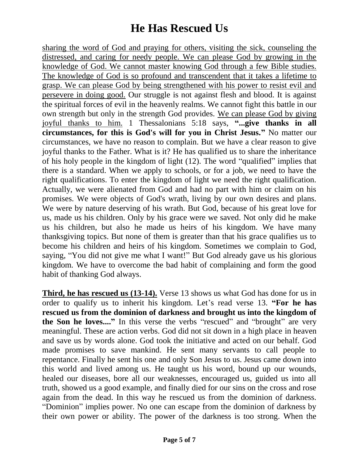sharing the word of God and praying for others, visiting the sick, counseling the distressed, and caring for needy people. We can please God by growing in the knowledge of God. We cannot master knowing God through a few Bible studies. The knowledge of God is so profound and transcendent that it takes a lifetime to grasp. We can please God by being strengthened with his power to resist evil and persevere in doing good. Our struggle is not against flesh and blood. It is against the spiritual forces of evil in the heavenly realms. We cannot fight this battle in our own strength but only in the strength God provides. We can please God by giving joyful thanks to him. 1 Thessalonians 5:18 says, **"...give thanks in all circumstances, for this is God's will for you in Christ Jesus."** No matter our circumstances, we have no reason to complain. But we have a clear reason to give joyful thanks to the Father. What is it? He has qualified us to share the inheritance of his holy people in the kingdom of light (12). The word "qualified" implies that there is a standard. When we apply to schools, or for a job, we need to have the right qualifications. To enter the kingdom of light we need the right qualification. Actually, we were alienated from God and had no part with him or claim on his promises. We were objects of God's wrath, living by our own desires and plans. We were by nature deserving of his wrath. But God, because of his great love for us, made us his children. Only by his grace were we saved. Not only did he make us his children, but also he made us heirs of his kingdom. We have many thanksgiving topics. But none of them is greater than that his grace qualifies us to become his children and heirs of his kingdom. Sometimes we complain to God, saying, "You did not give me what I want!" But God already gave us his glorious kingdom. We have to overcome the bad habit of complaining and form the good habit of thanking God always.

**Third, he has rescued us (13-14).** Verse 13 shows us what God has done for us in order to qualify us to inherit his kingdom. Let's read verse 13. **"For he has rescued us from the dominion of darkness and brought us into the kingdom of the Son he loves....**" In this verse the verbs "rescued" and "brought" are very meaningful. These are action verbs. God did not sit down in a high place in heaven and save us by words alone. God took the initiative and acted on our behalf. God made promises to save mankind. He sent many servants to call people to repentance. Finally he sent his one and only Son Jesus to us. Jesus came down into this world and lived among us. He taught us his word, bound up our wounds, healed our diseases, bore all our weaknesses, encouraged us, guided us into all truth, showed us a good example, and finally died for our sins on the cross and rose again from the dead. In this way he rescued us from the dominion of darkness. "Dominion" implies power. No one can escape from the dominion of darkness by their own power or ability. The power of the darkness is too strong. When the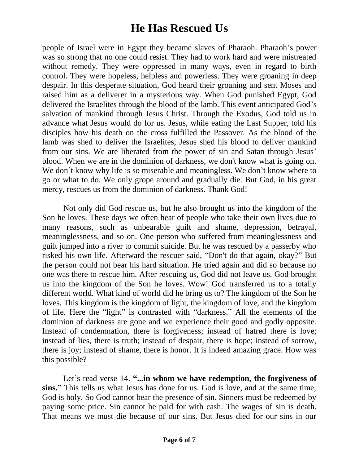people of Israel were in Egypt they became slaves of Pharaoh. Pharaoh's power was so strong that no one could resist. They had to work hard and were mistreated without remedy. They were oppressed in many ways, even in regard to birth control. They were hopeless, helpless and powerless. They were groaning in deep despair. In this desperate situation, God heard their groaning and sent Moses and raised him as a deliverer in a mysterious way. When God punished Egypt, God delivered the Israelites through the blood of the lamb. This event anticipated God's salvation of mankind through Jesus Christ. Through the Exodus, God told us in advance what Jesus would do for us. Jesus, while eating the Last Supper, told his disciples how his death on the cross fulfilled the Passover. As the blood of the lamb was shed to deliver the Israelites, Jesus shed his blood to deliver mankind from our sins. We are liberated from the power of sin and Satan through Jesus' blood. When we are in the dominion of darkness, we don't know what is going on. We don't know why life is so miserable and meaningless. We don't know where to go or what to do. We only grope around and gradually die. But God, in his great mercy, rescues us from the dominion of darkness. Thank God!

Not only did God rescue us, but he also brought us into the kingdom of the Son he loves. These days we often hear of people who take their own lives due to many reasons, such as unbearable guilt and shame, depression, betrayal, meaninglessness, and so on. One person who suffered from meaninglessness and guilt jumped into a river to commit suicide. But he was rescued by a passerby who risked his own life. Afterward the rescuer said, "Don't do that again, okay?" But the person could not bear his hard situation. He tried again and did so because no one was there to rescue him. After rescuing us, God did not leave us. God brought us into the kingdom of the Son he loves. Wow! God transferred us to a totally different world. What kind of world did he bring us to? The kingdom of the Son he loves. This kingdom is the kingdom of light, the kingdom of love, and the kingdom of life. Here the "light" is contrasted with "darkness." All the elements of the dominion of darkness are gone and we experience their good and godly opposite. Instead of condemnation, there is forgiveness; instead of hatred there is love; instead of lies, there is truth; instead of despair, there is hope; instead of sorrow, there is joy; instead of shame, there is honor. It is indeed amazing grace. How was this possible?

Let's read verse 14. "...in whom we have redemption, the forgiveness of **sins."** This tells us what Jesus has done for us. God is love, and at the same time, God is holy. So God cannot bear the presence of sin. Sinners must be redeemed by paying some price. Sin cannot be paid for with cash. The wages of sin is death. That means we must die because of our sins. But Jesus died for our sins in our